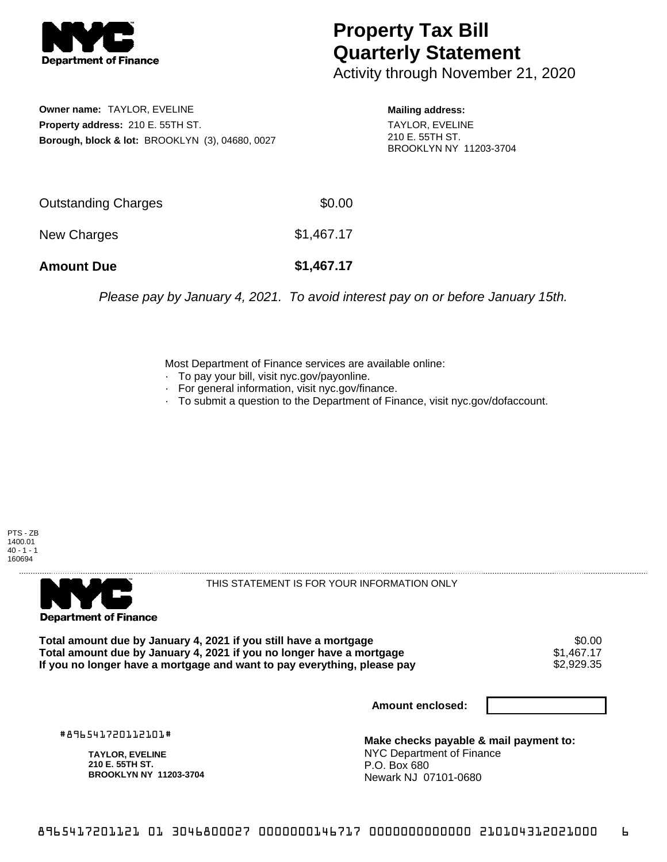

## **Property Tax Bill Quarterly Statement**

Activity through November 21, 2020

**Owner name:** TAYLOR, EVELINE **Property address:** 210 E. 55TH ST. **Borough, block & lot:** BROOKLYN (3), 04680, 0027 **Mailing address:**

TAYLOR, EVELINE 210 E. 55TH ST. BROOKLYN NY 11203-3704

| <b>Amount Due</b>   | \$1,467.17 |
|---------------------|------------|
| New Charges         | \$1,467.17 |
| Outstanding Charges | \$0.00     |

Please pay by January 4, 2021. To avoid interest pay on or before January 15th.

Most Department of Finance services are available online:

- · To pay your bill, visit nyc.gov/payonline.
- For general information, visit nyc.gov/finance.
- · To submit a question to the Department of Finance, visit nyc.gov/dofaccount.





THIS STATEMENT IS FOR YOUR INFORMATION ONLY

Total amount due by January 4, 2021 if you still have a mortgage \$0.00<br>Total amount due by January 4, 2021 if you no longer have a mortgage \$1.467.17 **Total amount due by January 4, 2021 if you no longer have a mortgage**  $$1,467.17$$ **<br>If you no longer have a mortgage and want to pay everything, please pay**  $$2,929.35$$ If you no longer have a mortgage and want to pay everything, please pay

**Amount enclosed:**

#896541720112101#

**TAYLOR, EVELINE 210 E. 55TH ST. BROOKLYN NY 11203-3704**

**Make checks payable & mail payment to:** NYC Department of Finance P.O. Box 680 Newark NJ 07101-0680